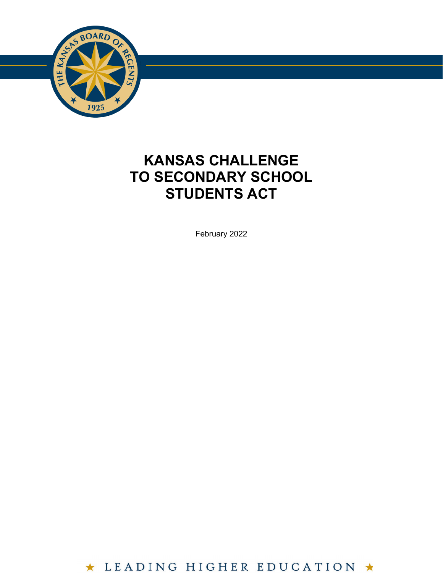

# **KANSAS CHALLENGE TO SECONDARY SCHOOL STUDENTS ACT**

**7**

February 2022

\* LEADING HIGHER EDUCATION  $\star$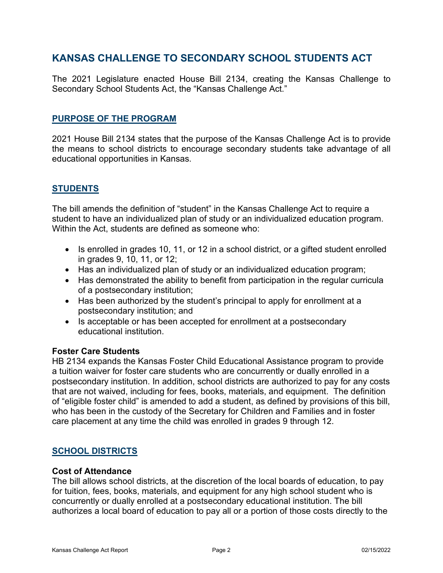## **KANSAS CHALLENGE TO SECONDARY SCHOOL STUDENTS ACT**

The 2021 Legislature enacted House Bill 2134, creating the Kansas Challenge to Secondary School Students Act, the "Kansas Challenge Act."

## **PURPOSE OF THE PROGRAM**

2021 House Bill 2134 states that the purpose of the Kansas Challenge Act is to provide the means to school districts to encourage secondary students take advantage of all educational opportunities in Kansas.

## **STUDENTS**

The bill amends the definition of "student" in the Kansas Challenge Act to require a student to have an individualized plan of study or an individualized education program. Within the Act, students are defined as someone who:

- Is enrolled in grades 10, 11, or 12 in a school district, or a gifted student enrolled in grades 9, 10, 11, or 12;
- Has an individualized plan of study or an individualized education program;
- Has demonstrated the ability to benefit from participation in the regular curricula of a postsecondary institution;
- Has been authorized by the student's principal to apply for enrollment at a postsecondary institution; and
- Is acceptable or has been accepted for enrollment at a postsecondary educational institution.

## **Foster Care Students**

HB 2134 expands the Kansas Foster Child Educational Assistance program to provide a tuition waiver for foster care students who are concurrently or dually enrolled in a postsecondary institution. In addition, school districts are authorized to pay for any costs that are not waived, including for fees, books, materials, and equipment. The definition of "eligible foster child" is amended to add a student, as defined by provisions of this bill, who has been in the custody of the Secretary for Children and Families and in foster care placement at any time the child was enrolled in grades 9 through 12.

## **SCHOOL DISTRICTS**

#### **Cost of Attendance**

The bill allows school districts, at the discretion of the local boards of education, to pay for tuition, fees, books, materials, and equipment for any high school student who is concurrently or dually enrolled at a postsecondary educational institution. The bill authorizes a local board of education to pay all or a portion of those costs directly to the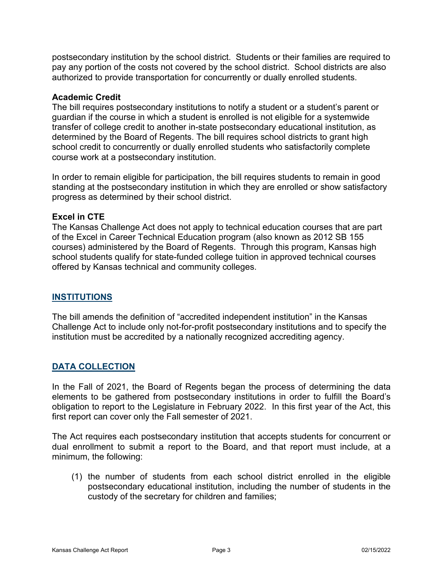postsecondary institution by the school district. Students or their families are required to pay any portion of the costs not covered by the school district. School districts are also authorized to provide transportation for concurrently or dually enrolled students.

## **Academic Credit**

The bill requires postsecondary institutions to notify a student or a student's parent or guardian if the course in which a student is enrolled is not eligible for a systemwide transfer of college credit to another in-state postsecondary educational institution, as determined by the Board of Regents. The bill requires school districts to grant high school credit to concurrently or dually enrolled students who satisfactorily complete course work at a postsecondary institution.

In order to remain eligible for participation, the bill requires students to remain in good standing at the postsecondary institution in which they are enrolled or show satisfactory progress as determined by their school district.

## **Excel in CTE**

The Kansas Challenge Act does not apply to technical education courses that are part of the Excel in Career Technical Education program (also known as 2012 SB 155 courses) administered by the Board of Regents. Through this program, Kansas high school students qualify for state-funded college tuition in approved technical courses offered by Kansas technical and community colleges.

## **INSTITUTIONS**

The bill amends the definition of "accredited independent institution" in the Kansas Challenge Act to include only not-for-profit postsecondary institutions and to specify the institution must be accredited by a nationally recognized accrediting agency.

## **DATA COLLECTION**

In the Fall of 2021, the Board of Regents began the process of determining the data elements to be gathered from postsecondary institutions in order to fulfill the Board's obligation to report to the Legislature in February 2022. In this first year of the Act, this first report can cover only the Fall semester of 2021.

The Act requires each postsecondary institution that accepts students for concurrent or dual enrollment to submit a report to the Board, and that report must include, at a minimum, the following:

(1) the number of students from each school district enrolled in the eligible postsecondary educational institution, including the number of students in the custody of the secretary for children and families;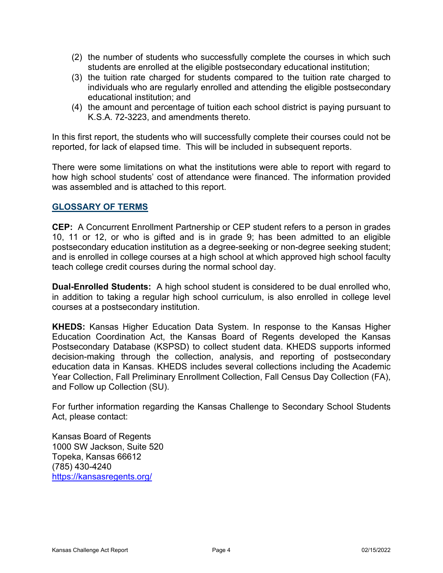- (2) the number of students who successfully complete the courses in which such students are enrolled at the eligible postsecondary educational institution;
- (3) the tuition rate charged for students compared to the tuition rate charged to individuals who are regularly enrolled and attending the eligible postsecondary educational institution; and
- (4) the amount and percentage of tuition each school district is paying pursuant to K.S.A. 72-3223, and amendments thereto.

In this first report, the students who will successfully complete their courses could not be reported, for lack of elapsed time. This will be included in subsequent reports.

There were some limitations on what the institutions were able to report with regard to how high school students' cost of attendance were financed. The information provided was assembled and is attached to this report.

## **GLOSSARY OF TERMS**

**CEP:** A Concurrent Enrollment Partnership or CEP student refers to a person in grades 10, 11 or 12, or who is gifted and is in grade 9; has been admitted to an eligible postsecondary education institution as a degree-seeking or non-degree seeking student; and is enrolled in college courses at a high school at which approved high school faculty teach college credit courses during the normal school day.

**Dual-Enrolled Students:** A high school student is considered to be dual enrolled who, in addition to taking a regular high school curriculum, is also enrolled in college level courses at a postsecondary institution.

**KHEDS:** Kansas Higher Education Data System. In response to the Kansas Higher Education Coordination Act, the Kansas Board of Regents developed the Kansas Postsecondary Database (KSPSD) to collect student data. KHEDS supports informed decision-making through the collection, analysis, and reporting of postsecondary education data in Kansas. KHEDS includes several collections including the Academic Year Collection, Fall Preliminary Enrollment Collection, Fall Census Day Collection (FA), and Follow up Collection (SU).

For further information regarding the Kansas Challenge to Secondary School Students Act, please contact:

Kansas Board of Regents 1000 SW Jackson, Suite 520 Topeka, Kansas 66612 (785) 430-4240 <https://kansasregents.org/>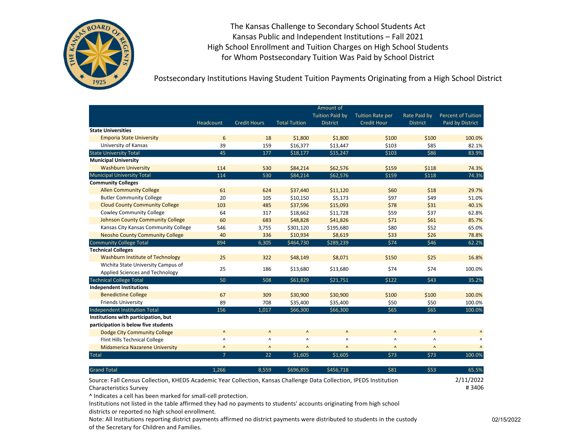

Postsecondary Institutions Having Student Tuition Payments Originating from a High School District

|                                                                                                                     |                                 |                        |                        | Amount of              |                         |                                 |                           |
|---------------------------------------------------------------------------------------------------------------------|---------------------------------|------------------------|------------------------|------------------------|-------------------------|---------------------------------|---------------------------|
|                                                                                                                     |                                 |                        |                        | <b>Tuition Paid by</b> | <b>Tuition Rate per</b> | Rate Paid by                    | <b>Percent of Tuition</b> |
|                                                                                                                     | Headcount                       | <b>Credit Hours</b>    | <b>Total Tuition</b>   | <b>District</b>        | <b>Credit Hour</b>      | <b>District</b>                 | Paid by District          |
| <b>State Universities</b>                                                                                           |                                 |                        |                        |                        |                         |                                 |                           |
| <b>Emporia State University</b>                                                                                     | 6                               | 18                     | \$1,800                | \$1,800                | \$100                   | \$100                           | 100.0%                    |
| University of Kansas                                                                                                | 39                              | 159                    | \$16,377               | \$13,447               | \$103                   | \$85                            | 82.1%                     |
| <b>State University Total</b>                                                                                       | 45                              | 177                    | \$18,177               | \$15,247               | \$103                   | \$86                            | 83.9%                     |
| <b>Municipal University</b>                                                                                         |                                 |                        |                        |                        |                         |                                 |                           |
| <b>Washburn University</b>                                                                                          | 114                             | 530                    | \$84,214               | \$62,576               | \$159                   | \$118                           | 74.3%                     |
| <b>Municipal University Total</b>                                                                                   | 114                             | 530                    | \$84,214               | \$62,576               | \$159                   | \$118                           | 74.3%                     |
| <b>Community Colleges</b>                                                                                           |                                 |                        |                        |                        |                         |                                 |                           |
| <b>Allen Community College</b>                                                                                      | 61                              | 624                    | \$37,440               | \$11,120               | \$60                    | \$18                            | 29.7%                     |
| <b>Butler Community College</b>                                                                                     | 20                              | 105                    | \$10,150               | \$5,173                | \$97                    | \$49                            | 51.0%                     |
| <b>Cloud County Community College</b>                                                                               | 103                             | 485                    | \$37,596               | \$15,093               | \$78                    | \$31                            | 40.1%                     |
| <b>Cowley Community College</b>                                                                                     | 64                              | 317                    | \$18,662               | \$11,728               | \$59                    | \$37                            | 62.8%                     |
| <b>Johnson County Community College</b>                                                                             | 60                              | 683                    | \$48,828               | \$41,826               | \$71                    | \$61                            | 85.7%                     |
| Kansas City Kansas Community College                                                                                | 546                             | 3,755                  | \$301,120              | \$195,680              | \$80                    | \$52                            | 65.0%                     |
| <b>Neosho County Community College</b>                                                                              | 40                              | 336                    | \$10,934               | \$8,619                | \$33                    | \$26                            | 78.8%                     |
| Community College Total                                                                                             | 894                             | 6,305                  | \$464,730              | \$289,239              | \$74                    | \$46                            | 62.2%                     |
| <b>Technical Colleges</b>                                                                                           |                                 |                        |                        |                        |                         |                                 |                           |
| <b>Washburn Institute of Technology</b>                                                                             | 25                              | 322                    | \$48,149               | \$8,071                | \$150                   | \$25                            | 16.8%                     |
| Wichita State University Campus of                                                                                  | 25                              | 186                    | \$13,680               | \$13,680               | \$74                    | \$74                            | 100.0%                    |
| Applied Sciences and Technology                                                                                     |                                 |                        |                        |                        |                         |                                 |                           |
| <b>Technical College Total</b>                                                                                      | 50                              | 508                    | \$61,829               | \$21,751               | \$122                   | \$43                            | 35.2%                     |
| <b>Independent Institutions</b>                                                                                     |                                 |                        |                        |                        |                         |                                 |                           |
| <b>Benedictine College</b>                                                                                          | 67                              | 309                    | \$30,900               | \$30,900               | \$100                   | \$100                           | 100.0%                    |
| <b>Friends University</b>                                                                                           | 89                              | 708                    | \$35,400               | \$35,400               | \$50                    | \$50                            | 100.0%                    |
| Independent Institution Total                                                                                       | 156                             | 1,017                  | \$66,300               | \$66,300               | \$65                    | \$65                            | 100.0%                    |
| Institutions with participation, but                                                                                |                                 |                        |                        |                        |                         |                                 |                           |
| participation is below five students                                                                                |                                 |                        |                        |                        |                         |                                 |                           |
| <b>Dodge City Community College</b>                                                                                 | $\boldsymbol{\mathsf{\Lambda}}$ | $\boldsymbol{\Lambda}$ | $\Lambda$              | $\Lambda$              | $\Lambda$               | $\boldsymbol{\mathsf{\Lambda}}$ | $\boldsymbol{\Lambda}$    |
| Flint Hills Technical College                                                                                       | $\boldsymbol{\wedge}$           | Λ                      | Λ                      | $\boldsymbol{\wedge}$  | Λ                       | Λ                               | $\lambda$                 |
| <b>Midamerica Nazarene University</b>                                                                               | $\boldsymbol{\mathsf{\Lambda}}$ | $\boldsymbol{\Lambda}$ | $\boldsymbol{\Lambda}$ | $\Lambda$              | $\Lambda$               | $\boldsymbol{\Lambda}$          | $\Lambda$                 |
| <b>Total</b>                                                                                                        | $\overline{7}$                  | 22                     | \$1,605                | \$1,605                | \$73                    | \$73                            | 100.0%                    |
| <b>Grand Total</b>                                                                                                  | 1.266                           | 8.559                  | \$696,855              | \$456,718              | \$81                    | \$53                            | 65.5%                     |
| Source: Fall Census Collection, KHEDS Academic Year Collection, Kansas Challenge Data Collection, IPEDS Institution |                                 |                        |                        |                        |                         |                                 | 2/11/2022                 |

Characteristics Survey

^ Indicates a cell has been marked for small-cell protection.

Institutions not listed in the table affirmed they had no payments to students' accounts originating from high school districts or reported no high school enrollment.

Note: All Institutions reporting district payments affirmed no district payments were distributed to students in the custody of the Secretary for Children and Families.

# 3406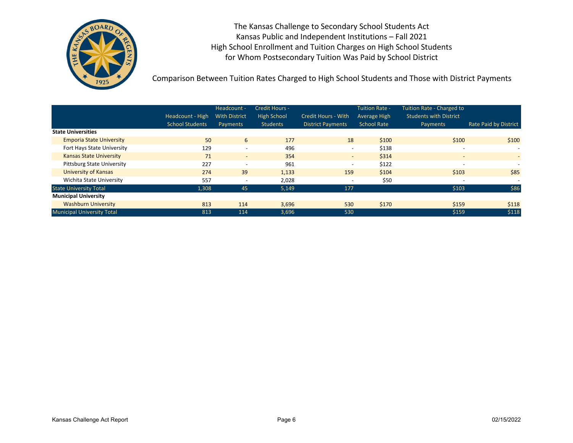

Comparison Between Tuition Rates Charged to High School Students and Those with District Payments

|                                   | Headcount - High<br><b>School Students</b> | Headcount -<br><b>With District</b><br>Payments | Credit Hours -<br><b>High School</b><br><b>Students</b> | <b>Credit Hours - With</b><br><b>District Payments</b> | <b>Tuition Rate -</b><br>Average High<br><b>School Rate</b> | <b>Tuition Rate - Charged to</b><br><b>Students with District</b><br>Payments | <b>Rate Paid by District</b> |
|-----------------------------------|--------------------------------------------|-------------------------------------------------|---------------------------------------------------------|--------------------------------------------------------|-------------------------------------------------------------|-------------------------------------------------------------------------------|------------------------------|
| <b>State Universities</b>         |                                            |                                                 |                                                         |                                                        |                                                             |                                                                               |                              |
| <b>Emporia State University</b>   | 50                                         | 6                                               | 177                                                     | 18                                                     | \$100                                                       | \$100                                                                         | \$100                        |
| Fort Hays State University        | 129                                        | $\overline{\phantom{a}}$                        | 496                                                     | $\overline{\phantom{0}}$                               | \$138                                                       | $\overline{\phantom{a}}$                                                      | $\overline{\phantom{0}}$     |
| <b>Kansas State University</b>    | 71                                         | $\overline{\phantom{a}}$                        | 354                                                     | $\sim$                                                 | \$314                                                       | $\overline{\phantom{a}}$                                                      | $\overline{\phantom{0}}$     |
| <b>Pittsburg State University</b> | 227                                        | $\overline{\phantom{a}}$                        | 961                                                     | $\overline{\phantom{0}}$                               | \$122                                                       | $\overline{\phantom{a}}$                                                      | $\overline{\phantom{0}}$     |
| University of Kansas              | 274                                        | 39                                              | 1,133                                                   | 159                                                    | \$104                                                       | \$103                                                                         | \$85                         |
| Wichita State University          | 557                                        |                                                 | 2,028                                                   | $\overline{\phantom{a}}$                               | \$50                                                        | $\overline{\phantom{a}}$                                                      | $\overline{\phantom{a}}$     |
| <b>State University Total</b>     | 1,308                                      | 45                                              | 5,149                                                   | 177                                                    |                                                             | \$103                                                                         | \$86                         |
| <b>Municipal University</b>       |                                            |                                                 |                                                         |                                                        |                                                             |                                                                               |                              |
| <b>Washburn University</b>        | 813                                        | 114                                             | 3,696                                                   | 530                                                    | \$170                                                       | \$159                                                                         | \$118                        |
| <b>Municipal University Total</b> | 813                                        | 114                                             | 3,696                                                   | 530                                                    |                                                             | \$159                                                                         | \$118                        |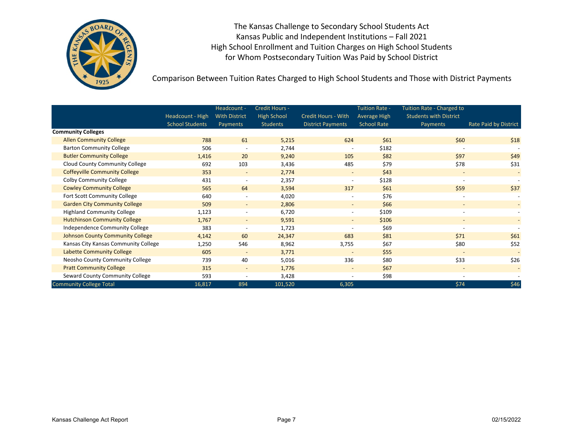

Comparison Between Tuition Rates Charged to High School Students and Those with District Payments

|                                         | Headcount - High       | Headcount -<br><b>With District</b> | Credit Hours -<br><b>High School</b> | <b>Credit Hours - With</b> | <b>Tuition Rate -</b><br><b>Average High</b> | Tuition Rate - Charged to<br><b>Students with District</b> |                          |
|-----------------------------------------|------------------------|-------------------------------------|--------------------------------------|----------------------------|----------------------------------------------|------------------------------------------------------------|--------------------------|
|                                         | <b>School Students</b> | Payments                            | <b>Students</b>                      | <b>District Payments</b>   | <b>School Rate</b>                           | Payments                                                   | Rate Paid by District    |
| <b>Community Colleges</b>               |                        |                                     |                                      |                            |                                              |                                                            |                          |
| <b>Allen Community College</b>          | 788                    | 61                                  | 5,215                                | 624                        | \$61                                         | \$60                                                       | \$18                     |
| <b>Barton Community College</b>         | 506                    | $\overline{\phantom{a}}$            | 2,744                                | $\overline{\phantom{a}}$   | \$182                                        |                                                            |                          |
| <b>Butler Community College</b>         | 1,416                  | 20                                  | 9,240                                | 105                        | \$82                                         | \$97                                                       | \$49                     |
| <b>Cloud County Community College</b>   | 692                    | 103                                 | 3,436                                | 485                        | \$79                                         | \$78                                                       | \$31                     |
| <b>Coffeyville Community College</b>    | 353                    | $\overline{\phantom{a}}$            | 2,774                                | $\sim$                     | \$43                                         |                                                            |                          |
| <b>Colby Community College</b>          | 431                    | $\overline{\phantom{a}}$            | 2,357                                | $\overline{\phantom{a}}$   | \$128                                        |                                                            |                          |
| <b>Cowley Community College</b>         | 565                    | 64                                  | 3,594                                | 317                        | \$61                                         | \$59                                                       | \$37                     |
| Fort Scott Community College            | 640                    |                                     | 4,020                                |                            | \$76                                         |                                                            |                          |
| <b>Garden City Community College</b>    | 509                    | $\overline{\phantom{a}}$            | 2,806                                | $\overline{\phantom{a}}$   | \$66                                         |                                                            | $\overline{\phantom{0}}$ |
| <b>Highland Community College</b>       | 1,123                  | $\overline{\phantom{a}}$            | 6,720                                | $\sim$                     | \$109                                        | $\overline{\phantom{a}}$                                   | $\overline{\phantom{a}}$ |
| <b>Hutchinson Community College</b>     | 1,767                  | $\overline{\phantom{a}}$            | 9,591                                | $\sim$                     | \$106                                        | $\overline{\phantom{a}}$                                   | $\overline{\phantom{a}}$ |
| Independence Community College          | 383                    |                                     | 1,723                                |                            | \$69                                         |                                                            |                          |
| <b>Johnson County Community College</b> | 4,142                  | 60                                  | 24,347                               | 683                        | \$81                                         | \$71                                                       | \$61                     |
| Kansas City Kansas Community College    | 1,250                  | 546                                 | 8,962                                | 3,755                      | \$67                                         | \$80                                                       | \$52                     |
| <b>Labette Community College</b>        | 605                    | $\overline{\phantom{a}}$            | 3,771                                | $\overline{\phantom{a}}$   | \$55                                         | $\overline{\phantom{a}}$                                   |                          |
| Neosho County Community College         | 739                    | 40                                  | 5,016                                | 336                        | \$80                                         | \$33                                                       | \$26                     |
| <b>Pratt Community College</b>          | 315                    | $\overline{\phantom{a}}$            | 1,776                                |                            | \$67                                         |                                                            |                          |
| Seward County Community College         | 593                    |                                     | 3,428                                |                            | \$98                                         |                                                            |                          |
| <b>Community College Total</b>          | 16,817                 | 894                                 | 101,520                              | 6,305                      |                                              | \$74                                                       | \$46                     |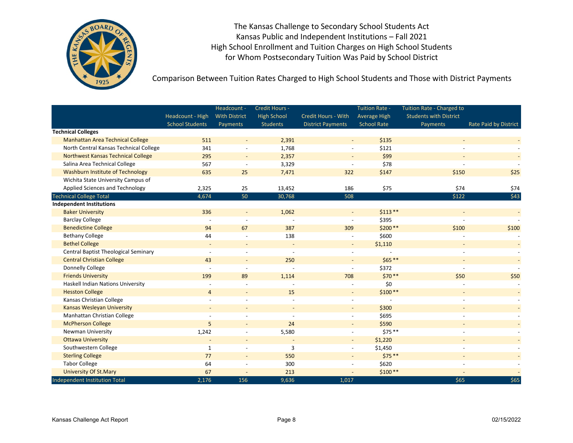

Comparison Between Tuition Rates Charged to High School Students and Those with District Payments

|                                             |                          | Headcount -              | Credit Hours -           |                            | <b>Tuition Rate -</b> | Tuition Rate - Charged to     |                              |
|---------------------------------------------|--------------------------|--------------------------|--------------------------|----------------------------|-----------------------|-------------------------------|------------------------------|
|                                             | Headcount - High         | <b>With District</b>     | <b>High School</b>       | <b>Credit Hours - With</b> | <b>Average High</b>   | <b>Students with District</b> |                              |
|                                             | <b>School Students</b>   | Payments                 | <b>Students</b>          | <b>District Payments</b>   | <b>School Rate</b>    | <b>Payments</b>               | <b>Rate Paid by District</b> |
| <b>Technical Colleges</b>                   |                          |                          |                          |                            |                       |                               |                              |
| <b>Manhattan Area Technical College</b>     | 511                      |                          | 2,391                    |                            | \$135                 |                               |                              |
| North Central Kansas Technical College      | 341                      |                          | 1,768                    |                            | \$121                 |                               |                              |
| <b>Northwest Kansas Technical College</b>   | 295                      | $\blacksquare$           | 2,357                    | $\overline{\phantom{a}}$   | \$99                  |                               |                              |
| Salina Area Technical College               | 567                      | $\overline{\phantom{a}}$ | 3,329                    | $\overline{a}$             | \$78                  |                               |                              |
| Washburn Institute of Technology            | 635                      | 25                       | 7,471                    | 322                        | \$147                 | \$150                         | \$25                         |
| Wichita State University Campus of          |                          |                          |                          |                            |                       |                               |                              |
| Applied Sciences and Technology             | 2,325                    | 25                       | 13,452                   | 186                        | \$75                  | \$74                          | \$74                         |
| <b>Technical College Total</b>              | 4,674                    | 50                       | 30,768                   | 508                        |                       | \$122                         | \$43                         |
| <b>Independent Institutions</b>             |                          |                          |                          |                            |                       |                               |                              |
| <b>Baker University</b>                     | 336                      | $\overline{\phantom{a}}$ | 1,062                    |                            | $$113**$              |                               | $\blacksquare$               |
| <b>Barclay College</b>                      |                          |                          |                          | $\overline{a}$             | \$395                 |                               |                              |
| <b>Benedictine College</b>                  | 94                       | 67                       | 387                      | 309                        | \$200 **              | \$100                         | \$100                        |
| <b>Bethany College</b>                      | 44                       |                          | 138                      |                            | \$600                 |                               |                              |
| <b>Bethel College</b>                       | $\blacksquare$           | $\overline{\phantom{a}}$ | $\overline{\phantom{a}}$ | $\sim$                     | \$1,110               | $\overline{\phantom{a}}$      |                              |
| <b>Central Baptist Theological Seminary</b> |                          |                          |                          |                            |                       |                               |                              |
| <b>Central Christian College</b>            | 43                       | $\overline{a}$           | 250                      |                            | $$65***$              |                               |                              |
| Donnelly College                            |                          | $\blacksquare$           |                          |                            | \$372                 |                               |                              |
| <b>Friends University</b>                   | 199                      | 89                       | 1,114                    | 708                        | $$70**$               | \$50                          | \$50                         |
| Haskell Indian Nations University           |                          |                          |                          | $\overline{\phantom{a}}$   | \$0                   |                               |                              |
| <b>Hesston College</b>                      | $\overline{4}$           | $\overline{\phantom{a}}$ | 15                       | $\overline{\phantom{a}}$   | $$100**$              |                               |                              |
| Kansas Christian College                    |                          |                          | $\overline{a}$           | $\overline{a}$             |                       |                               |                              |
| <b>Kansas Wesleyan University</b>           | $\sim$                   | $\overline{\phantom{a}}$ | $\overline{\phantom{a}}$ | $\sim$                     | \$300                 |                               |                              |
| Manhattan Christian College                 |                          |                          |                          |                            | \$695                 |                               |                              |
| <b>McPherson College</b>                    | 5                        |                          | 24                       |                            | \$590                 |                               |                              |
| Newman University                           | 1,242                    | $\overline{\phantom{a}}$ | 5,580                    | $\overline{a}$             | $$75**$$              |                               |                              |
| <b>Ottawa University</b>                    | $\overline{\phantom{a}}$ | $\overline{\phantom{a}}$ | $\overline{\phantom{a}}$ | $\overline{\phantom{a}}$   | \$1,220               |                               |                              |
| Southwestern College                        | 1                        | $\overline{\phantom{a}}$ | 3                        | $\overline{a}$             | \$1,450               |                               |                              |
| <b>Sterling College</b>                     | 77                       | $\blacksquare$           | 550                      | $\overline{\phantom{a}}$   | $$75***$              |                               |                              |
| <b>Tabor College</b>                        | 64                       |                          | 300                      |                            | \$620                 |                               |                              |
| <b>University Of St.Mary</b>                | 67                       | $\blacksquare$           | 213                      | $\blacksquare$             | $$100**$              |                               |                              |
| <b>Independent Institution Total</b>        | 2,176                    | 156                      | 9,636                    | 1,017                      |                       | \$65                          | \$65                         |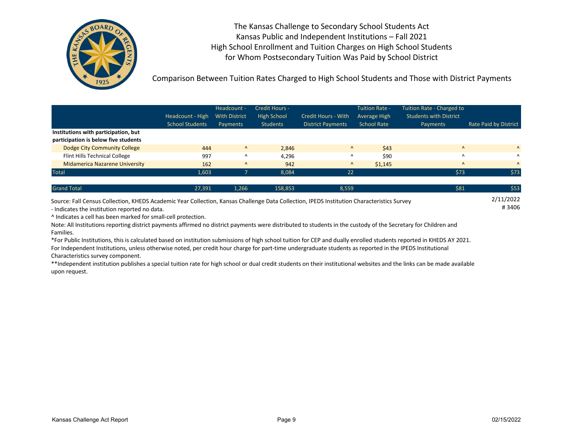

Comparison Between Tuition Rates Charged to High School Students and Those with District Payments

|                                       | Headcount - High<br><b>School Students</b> | Headcount -<br><b>With District</b><br>Payments | Credit Hours -<br><b>High School</b><br>Students | <b>Credit Hours - With</b><br><b>District Payments</b> | <b>Tuition Rate -</b><br>Average High<br><b>School Rate</b> | Tuition Rate - Charged to<br><b>Students with District</b><br>Payments | Rate Paid by District |
|---------------------------------------|--------------------------------------------|-------------------------------------------------|--------------------------------------------------|--------------------------------------------------------|-------------------------------------------------------------|------------------------------------------------------------------------|-----------------------|
| Institutions with participation, but  |                                            |                                                 |                                                  |                                                        |                                                             |                                                                        |                       |
| participation is below five students  |                                            |                                                 |                                                  |                                                        |                                                             |                                                                        |                       |
| Dodge City Community College          | 444                                        | $\Lambda$                                       | 2,846                                            | $\Lambda$                                              | \$43                                                        | $\Lambda$                                                              | $\Lambda$             |
| Flint Hills Technical College         | 997                                        | Λ                                               | 4,296                                            | $\Lambda$                                              | \$90                                                        | $\lambda$                                                              | $\Lambda$             |
| <b>Midamerica Nazarene University</b> | 162                                        | $\Lambda$                                       | 942                                              | $\Lambda$                                              | \$1,145                                                     | $\Lambda$                                                              | $\Lambda$             |
| <b>Total</b>                          | 1,603                                      |                                                 | 8,084                                            | 22                                                     |                                                             | \$73                                                                   | \$73                  |
|                                       |                                            |                                                 |                                                  |                                                        |                                                             |                                                                        |                       |
| <b>Grand Total</b>                    | 27,391                                     | 1,266                                           | 158,853                                          | 8,559                                                  |                                                             | \$81                                                                   | \$53                  |

# 3406 2/11/2022 Source: Fall Census Collection, KHEDS Academic Year Collection, Kansas Challenge Data Collection, IPEDS Institution Characteristics Survey - Indicates the institution reported no data.

^ Indicates a cell has been marked for small-cell protection.

Note: All Institutions reporting district payments affirmed no district payments were distributed to students in the custody of the Secretary for Children and Families.

\*For Public Institutions, this is calculated based on institution submissions of high school tuition for CEP and dually enrolled students reported in KHEDS AY 2021. For Independent Institutions, unless otherwise noted, per credit hour charge for part-time undergraduate students as reported in the IPEDS Institutional Characteristics survey component.

\*\*Independent institution publishes a special tuition rate for high school or dual credit students on their institutional websites and the links can be made available upon request.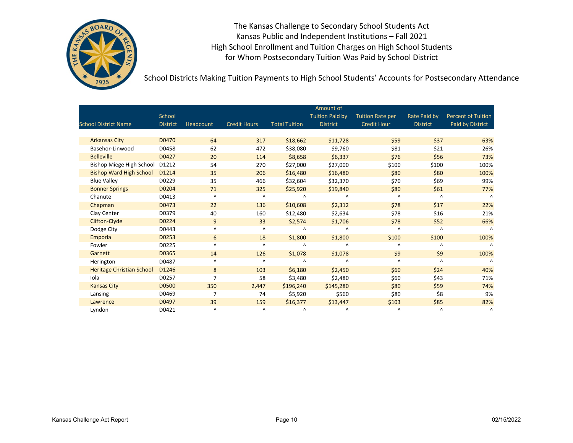

School Districts Making Tuition Payments to High School Students' Accounts for Postsecondary Attendance

|                                  |                 |                        |                        |                        | Amount of              |                         |                 |                           |
|----------------------------------|-----------------|------------------------|------------------------|------------------------|------------------------|-------------------------|-----------------|---------------------------|
|                                  | School          |                        |                        |                        | <b>Tuition Paid by</b> | <b>Tuition Rate per</b> | Rate Paid by    | <b>Percent of Tuition</b> |
| <b>School District Name</b>      | <b>District</b> | Headcount              | <b>Credit Hours</b>    | <b>Total Tuition</b>   | <b>District</b>        | <b>Credit Hour</b>      | <b>District</b> | Paid by District          |
|                                  |                 |                        |                        |                        |                        |                         |                 |                           |
| <b>Arkansas City</b>             | D0470           | 64                     | 317                    | \$18,662               | \$11,728               | \$59                    | \$37            | 63%                       |
| Basehor-Linwood                  | D0458           | 62                     | 472                    | \$38,080               | \$9,760                | \$81                    | \$21            | 26%                       |
| <b>Belleville</b>                | D0427           | 20                     | 114                    | \$8,658                | \$6,337                | \$76                    | \$56            | 73%                       |
| Bishop Miege High School         | D1212           | 54                     | 270                    | \$27,000               | \$27,000               | \$100                   | \$100           | 100%                      |
| <b>Bishop Ward High School</b>   | D1214           | 35                     | 206                    | \$16,480               | \$16,480               | \$80                    | \$80            | 100%                      |
| <b>Blue Valley</b>               | D0229           | 35                     | 466                    | \$32,604               | \$32,370               | \$70                    | \$69            | 99%                       |
| <b>Bonner Springs</b>            | D0204           | 71                     | 325                    | \$25,920               | \$19,840               | \$80                    | \$61            | 77%                       |
| Chanute                          | D0413           | Λ                      | $\boldsymbol{\wedge}$  | $\boldsymbol{\Lambda}$ | Λ                      | Λ                       | $\Lambda$       | $\Lambda$                 |
| Chapman                          | D0473           | 22                     | 136                    | \$10,608               | \$2,312                | \$78                    | \$17            | 22%                       |
| Clay Center                      | D0379           | 40                     | 160                    | \$12,480               | \$2,634                | \$78                    | \$16            | 21%                       |
| Clifton-Clyde                    | D0224           | 9                      | 33                     | \$2,574                | \$1,706                | \$78                    | \$52            | 66%                       |
| Dodge City                       | D0443           | $\boldsymbol{\Lambda}$ | Λ                      | Λ                      | Λ                      | Λ                       | Λ               | $\Lambda$                 |
| Emporia                          | D0253           | 6                      | 18                     | \$1,800                | \$1,800                | \$100                   | \$100           | 100%                      |
| Fowler                           | D0225           | Λ                      | $\boldsymbol{\Lambda}$ | Λ                      | Λ                      | Λ                       | Λ               | $\Lambda$                 |
| Garnett                          | D0365           | 14                     | 126                    | \$1,078                | \$1,078                | \$9                     | \$9             | 100%                      |
| Herington                        | D0487           | Λ                      | $\boldsymbol{\Lambda}$ | Λ                      | Λ                      | Λ                       | Λ               | $\Lambda$                 |
| <b>Heritage Christian School</b> | D1246           | 8                      | 103                    | \$6,180                | \$2,450                | \$60                    | \$24            | 40%                       |
| Iola                             | D0257           | 7                      | 58                     | \$3,480                | \$2,480                | \$60                    | \$43            | 71%                       |
| <b>Kansas City</b>               | D0500           | 350                    | 2,447                  | \$196,240              | \$145,280              | \$80                    | \$59            | 74%                       |
| Lansing                          | D0469           | $\overline{7}$         | 74                     | \$5,920                | \$560                  | \$80                    | \$8             | 9%                        |
| Lawrence                         | D0497           | 39                     | 159                    | \$16,377               | \$13,447               | \$103                   | \$85            | 82%                       |
| Lyndon                           | D0421           | $\boldsymbol{\Lambda}$ | $\boldsymbol{\wedge}$  | Λ                      | ٨                      | Λ                       | Λ               | $\Lambda$                 |